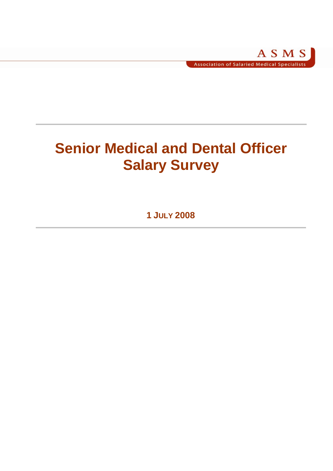# **Senior Medical and Dental Officer Salary Survey**

**1 JULY 2008**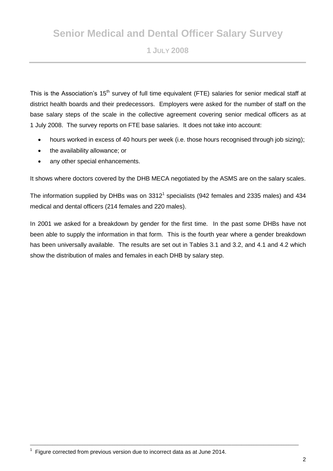# **Senior Medical and Dental Officer Salary Survey**

**1 JULY 2008**

This is the Association's 15<sup>th</sup> survey of full time equivalent (FTE) salaries for senior medical staff at district health boards and their predecessors. Employers were asked for the number of staff on the base salary steps of the scale in the collective agreement covering senior medical officers as at 1 July 2008. The survey reports on FTE base salaries. It does not take into account:

- hours worked in excess of 40 hours per week (i.e. those hours recognised through job sizing);
- the availability allowance; or
- any other special enhancements.

It shows where doctors covered by the DHB MECA negotiated by the ASMS are on the salary scales.

The information supplied by DHBs was on  $3312^1$  specialists (942 females and 2335 males) and 434 medical and dental officers (214 females and 220 males).

In 2001 we asked for a breakdown by gender for the first time. In the past some DHBs have not been able to supply the information in that form. This is the fourth year where a gender breakdown has been universally available. The results are set out in Tables 3.1 and 3.2, and 4.1 and 4.2 which show the distribution of males and females in each DHB by salary step.

 $1$  Figure corrected from previous version due to incorrect data as at June 2014.

\_\_\_\_\_\_\_\_\_\_\_\_\_\_\_\_\_\_\_\_\_\_\_\_\_\_\_\_\_\_\_\_\_\_\_\_\_\_\_\_\_\_\_\_\_\_\_\_\_\_\_\_\_\_\_\_\_\_\_\_\_\_\_\_\_\_\_\_\_\_\_\_\_\_\_\_\_\_\_\_\_\_\_\_\_\_\_\_\_\_\_\_\_\_\_\_\_\_\_\_\_\_\_\_\_\_\_\_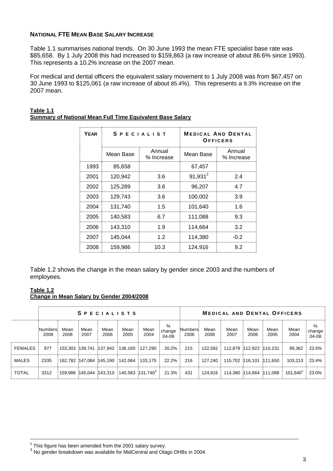#### **NATIONAL FTE MEAN BASE SALARY INCREASE**

Table 1.1 summarises national trends. On 30 June 1993 the mean FTE specialist base rate was \$85,658. By 1 July 2008 this had increased to \$159,863 (a raw increase of about 86.6% since 1993). This represents a 10.2% increase on the 2007 mean.

For medical and dental officers the equivalent salary movement to 1 July 2008 was from \$67,457 on 30 June 1993 to \$125,061 (a raw increase of about 85.4%). This represents a 9.3% increase on the 2007 mean.

| YEAR | <b>SPECIALIST</b> |                      | <b>MEDICAL AND DENTAL</b><br>OFFICERS |                      |  |  |  |  |
|------|-------------------|----------------------|---------------------------------------|----------------------|--|--|--|--|
|      | Mean Base         | Annual<br>% Increase | Mean Base                             | Annual<br>% Increase |  |  |  |  |
| 1993 | 85,658            |                      | 67,457                                |                      |  |  |  |  |
| 2001 | 120,942           | 3.6                  | $91,931^2$                            | 2.4                  |  |  |  |  |
| 2002 | 125,289           | 3.6                  | 96,207                                | 47                   |  |  |  |  |
| 2003 | 129,743           | 3.6                  | 100.002                               | 3.9                  |  |  |  |  |
| 2004 | 131,740           | 1.5                  | 101,640                               | 1.6                  |  |  |  |  |
| 2005 | 140,583           | 6.7                  | 111,088                               | 9.3                  |  |  |  |  |
| 2006 | 143,310           | 19                   | 114,664                               | 3.2                  |  |  |  |  |
| 2007 | 145,044           | 12                   | 114,380                               | -0.2                 |  |  |  |  |
| 2008 | 159,986           | 10.3                 | 124,916                               | 9.2                  |  |  |  |  |

#### **Table 1.1 Summary of National Mean Full Time Equivalent Base Salary**

Table 1.2 shows the change in the mean salary by gender since 2003 and the numbers of employees.

#### **Table 1.2 Change in Mean Salary by Gender 2004/2008**

|                |                        |                         |              |                         | <b>SPECIALISTS</b> |                                | <b>MEDICAL AND DENTAL OFFICERS</b> |                        |              |                         |              |              |              |                                      |  |
|----------------|------------------------|-------------------------|--------------|-------------------------|--------------------|--------------------------------|------------------------------------|------------------------|--------------|-------------------------|--------------|--------------|--------------|--------------------------------------|--|
|                | <b>Numbers</b><br>2008 | Mean<br>2008            | Mean<br>2007 | Mean<br>2006            | Mean<br>2005       | Mean<br>2004                   | %<br>change<br>04-08               | <b>Numbers</b><br>2008 | Mean<br>2008 | Mean<br>2007            | Mean<br>2006 | Mean<br>2005 | Mean<br>2004 | $\%$<br>change <sup>®</sup><br>04-08 |  |
| <b>FEMALES</b> | 977                    | 153.303 139.741         |              | 137.942                 | 136.160            | 127.290                        | 20.2%                              | 215                    | 122.582      | 112.878 112.922 110.231 |              |              | 99,362       | 23.5%                                |  |
| MALES          | 2335                   | 162.782 147.084 145.190 |              |                         | 142.064            | 133.175                        | 22.2%                              | 216                    | 127,240      | 115,702 116,101         |              | 111.650      | 103.213      | 23.4%                                |  |
| <b>TOTAL</b>   | 3312                   |                         |              | 159.986 145.044 143.310 |                    | $140,583$ 131,740 <sup>3</sup> | 21.3%                              | 431                    | 124,916      | 114.380 114.664 111.088 |              |              | $101.640^2$  | 23.0%                                |  |

\_\_\_\_\_\_\_\_\_\_\_\_\_\_\_\_\_\_\_\_\_\_\_\_\_\_\_\_\_\_\_\_\_\_\_\_\_\_\_\_\_\_\_\_\_\_\_\_\_\_\_\_\_\_\_\_\_\_\_\_\_\_\_\_\_\_\_\_\_\_\_\_\_\_\_\_\_\_\_\_\_\_\_\_\_\_\_\_\_\_\_\_\_\_\_\_\_\_\_\_\_\_\_\_\_\_\_\_

 $2$  This figure has been amended from the 2001 salary survey.

 $3$  No gender breakdown was available for MidCentral and Otago DHBs in 2004.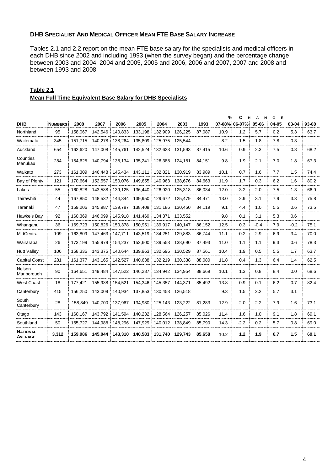#### **DHB SPECIALIST AND MEDICAL OFFICER MEAN FTE BASE SALARY INCREASE**

Tables 2.1 and 2.2 report on the mean FTE base salary for the specialists and medical officers in each DHB since 2002 and including 1993 (when the survey began) and the percentage change between 2003 and 2004, 2004 and 2005, 2005 and 2006, 2006 and 2007, 2007 and 2008 and between 1993 and 2008.

|                            |                |         |         |         |         |         | %<br>C<br>н<br>A<br>G<br>E<br>N |        |      |               |        |           |        |       |  |
|----------------------------|----------------|---------|---------|---------|---------|---------|---------------------------------|--------|------|---------------|--------|-----------|--------|-------|--|
| <b>DHB</b>                 | <b>NUMBERS</b> | 2008    | 2007    | 2006    | 2005    | 2004    | 2003                            | 1993   |      | 07-08% 06-07% | 05-06  | $04 - 05$ | 03-04  | 93-08 |  |
| Northland                  | 95             | 158,067 | 142,546 | 140,833 | 133,198 | 132,909 | 126,225                         | 87,087 | 10.9 | 1.2           | 5.7    | 0.2       | 5.3    | 63.7  |  |
| Waitemata                  | 345            | 151,715 | 140,278 | 138,264 | 135,809 | 125,975 | 125,544                         |        | 8.2  | 1.5           | 1.8    | 7.8       | 0.3    |       |  |
| Auckland                   | 654            | 162,620 | 147,008 | 145,761 | 142,524 | 132,623 | 131,593                         | 87,415 | 10.6 | 0.9           | 2.3    | 7.5       | 0.8    | 68.2  |  |
| Counties<br>Manukau        | 284            | 154,625 | 140,794 | 138,134 | 135,241 | 126,388 | 124,181                         | 84,151 | 9.8  | 1.9           | 2.1    | 7.0       | 1.8    | 67.3  |  |
| Waikato                    | 273            | 161,309 | 146,448 | 145.434 | 143,111 | 132,821 | 130,919                         | 83,989 | 10.1 | 0.7           | 1.6    | 7.7       | 1.5    | 74.4  |  |
| Bay of Plenty              | 121            | 170,664 | 152,557 | 150,076 | 149,655 | 140,963 | 138,676                         | 84,663 | 11.9 | 1.7           | 0.3    | 6.2       | 1.6    | 80.2  |  |
| Lakes                      | 55             | 160,828 | 143,588 | 139,125 | 136,440 | 126,920 | 125,318                         | 86,034 | 12.0 | 3.2           | 2.0    | 7.5       | 1.3    | 66.9  |  |
| Tairawhiti                 | 44             | 167,850 | 148,532 | 144,344 | 139,950 | 129,672 | 125,479                         | 84,471 | 13.0 | 2.9           | 3.1    | 7.9       | 3.3    | 75.8  |  |
| Taranaki                   | 47             | 159,206 | 145,987 | 139.787 | 138,408 | 131.186 | 130,450                         | 84,119 | 9.1  | 4.4           | 1.0    | 5.5       | 0.6    | 73.5  |  |
| Hawke's Bay                | 92             | 160,369 | 146,099 | 145,918 | 141,469 | 134,371 | 133,552                         |        | 9.8  | 0.1           | 3.1    | 5.3       | 0.6    |       |  |
| Whanganui                  | 36             | 169,723 | 150,826 | 150,378 | 150,951 | 139,917 | 140,147                         | 86,152 | 12.5 | 0.3           | $-0.4$ | 7.9       | $-0.2$ | 75.1  |  |
| MidCentral                 | 109            | 163,809 | 147,463 | 147,711 | 143,519 | 134,251 | 129,883                         | 86,744 | 11.1 | $-0.2$        | 2.9    | 6.9       | 3.4    | 70.0  |  |
| Wairarapa                  | 26             | 173,199 | 155,979 | 154,237 | 152,600 | 139,553 | 138,690                         | 87,493 | 11.0 | 1.1           | 1.1    | 9.3       | 0.6    | 78.3  |  |
| <b>Hutt Vallev</b>         | 106            | 158.336 | 143,375 | 140.644 | 139.963 | 132.696 | 130.529                         | 87,561 | 10.4 | 1.9           | 0.5    | 5.5       | 1.7    | 63.7  |  |
| <b>Capital Coast</b>       | 281            | 161,377 | 143,165 | 142,527 | 140,638 | 132,219 | 130,338                         | 88,080 | 11.8 | 0.4           | 1.3    | 6.4       | 1.4    | 62.5  |  |
| Nelson<br>Marlborough      | 90             | 164.651 | 149.484 | 147,522 | 146,287 | 134.942 | 134,954                         | 88.669 | 10.1 | 1.3           | 0.8    | 8.4       | 0.0    | 68.6  |  |
| <b>West Coast</b>          | 18             | 177,421 | 155,938 | 154,521 | 154,346 | 145,357 | 144,371                         | 85,492 | 13.8 | 0.9           | 0.1    | 6.2       | 0.7    | 82.4  |  |
| Canterbury                 | 415            | 156,250 | 143,009 | 140.934 | 137,853 | 130.453 | 126,518                         |        | 9.3  | 1.5           | 2.2    | 5.7       | 3.1    |       |  |
| South<br>Canterbury        | 28             | 158,849 | 140,700 | 137,967 | 134,980 | 125,143 | 123,222                         | 81,283 | 12.9 | 2.0           | 2.2    | 7.9       | 1.6    | 73.1  |  |
| Otago                      | 143            | 160,167 | 143,792 | 141,594 | 140,232 | 128,564 | 126,257                         | 85,026 | 11.4 | 1.6           | 1.0    | 9.1       | 1.8    | 69.1  |  |
| Southland                  | 50             | 165,727 | 144,988 | 148,296 | 147,929 | 140.012 | 138,849                         | 85,790 | 14.3 | $-2.2$        | 0.2    | 5.7       | 0.8    | 69.0  |  |
| <b>NATIONAL</b><br>AVERAGE | 3,312          | 159.986 | 145,044 | 143,310 | 140.583 | 131.740 | 129.743                         | 85,658 | 10.2 | 1.2           | 1.9    | 6.7       | 1.5    | 69.1  |  |

## **Table 2.1 Mean Full Time Equivalent Base Salary for DHB Specialists**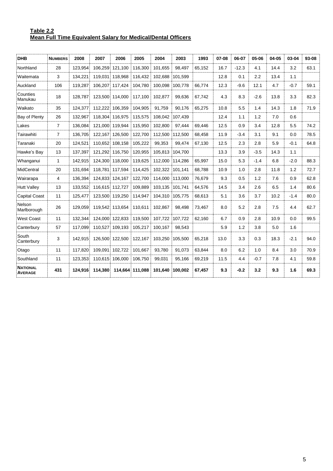#### **Table 2.2 Mean Full Time Equivalent Salary for Medical/Dental Officers**

| <b>DHB</b>                        | <b>NUMBERS</b> | 2008    | 2007    | 2006            | 2005    | 2004    | 2003    | 1993   | 07-08 | 06-07   | 05-06  | 04-05 | 03-04  | $93 - 08$ |
|-----------------------------------|----------------|---------|---------|-----------------|---------|---------|---------|--------|-------|---------|--------|-------|--------|-----------|
| Northland                         | 28             | 123,954 | 106,259 | 121,100         | 116,300 | 101,655 | 98,497  | 65,152 | 16.7  | $-12.3$ | 4.1    | 14.4  | 3.2    | 63.1      |
| Waitemata                         | 3              | 134,221 | 119.031 | 118,968         | 116,432 | 102.688 | 101,599 |        | 12.8  | 0.1     | 2.2    | 13.4  | 1.1    |           |
| Auckland                          | 106            | 119,287 | 106,207 | 117,424         | 104,780 | 100,098 | 100,778 | 66,774 | 12.3  | $-9.6$  | 12.1   | 4.7   | $-0.7$ | 59.1      |
| Counties<br>Manukau               | 18             | 128.787 | 123,500 | 114,000         | 117,100 | 102,877 | 99,636  | 67,742 | 4.3   | 8.3     | $-2.6$ | 13.8  | 3.3    | 82.3      |
| Waikato                           | 35             | 124.377 | 112,222 | 106,359         | 104,905 | 91,759  | 90,176  | 65,275 | 10.8  | 5.5     | 1.4    | 14.3  | 1.8    | 71.9      |
| Bay of Plenty                     | 26             | 132.967 | 118,304 | 116,975         | 115,575 | 108.042 | 107,439 |        | 12.4  | 1.1     | 1.2    | 7.0   | 0.6    |           |
| Lakes                             | $\overline{7}$ | 136.084 | 121.000 | 119,944         | 115,950 | 102,800 | 97,444  | 69,446 | 12.5  | 0.9     | 3.4    | 12.8  | 5.5    | 74.2      |
| Tairawhiti                        | $\overline{7}$ | 136.705 | 122.167 | 126.500         | 122,700 | 112.500 | 112,500 | 68.458 | 11.9  | $-3.4$  | 3.1    | 9.1   | 0.0    | 78.5      |
| Taranaki                          | 20             | 124,521 | 110,652 | 108,158         | 105,222 | 99,353  | 99,474  | 67,130 | 12.5  | 2.3     | 2.8    | 5.9   | $-0.1$ | 64.8      |
| Hawke's Bav                       | 13             | 137.397 | 121,292 | 116.750         | 120.955 | 105.813 | 104.700 |        | 13.3  | 3.9     | $-3.5$ | 14.3  | 1.1    |           |
| Whanganui                         | $\mathbf{1}$   | 142,915 | 124,300 | 118,000         | 119,625 | 112,000 | 114,286 | 65,997 | 15.0  | 5.3     | $-1.4$ | 6.8   | $-2.0$ | 88.3      |
| <b>MidCentral</b>                 | 20             | 131.694 | 118.781 | 117.594         | 114,425 | 102.322 | 101.141 | 68.788 | 10.9  | 1.0     | 2.8    | 11.8  | 1.2    | 72.7      |
| Wairarapa                         | 4              | 136,394 | 124,833 | 124,167         | 122,700 | 114,000 | 113,000 | 76,679 | 9.3   | 0.5     | 1.2    | 7.6   | 0.9    | 62.8      |
| <b>Hutt Valley</b>                | 13             | 133,552 | 116.615 | 112,727         | 109,889 | 103,135 | 101,741 | 64,576 | 14.5  | 3.4     | 2.6    | 6.5   | 1.4    | 80.6      |
| <b>Capital Coast</b>              | 11             | 125,477 |         | 123,500 119,250 | 114,947 | 104,310 | 105,775 | 68,613 | 5.1   | 3.6     | 3.7    | 10.2  | $-1.4$ | 80.0      |
| Nelson<br>Marlborough             | 26             | 129.059 |         | 119,542 113,654 | 110.611 | 102.867 | 98,498  | 73,467 | 8.0   | 5.2     | 2.8    | 7.5   | 4.4    | 62.7      |
| <b>West Coast</b>                 | 11             | 132.344 | 124,000 | 122,833         | 119,500 | 107,722 | 107,722 | 62.160 | 6.7   | 0.9     | 2.8    | 10.9  | 0.0    | 99.5      |
| Canterbury                        | 57             | 117,099 | 110,527 | 109,193         | 105,217 | 100,167 | 98,543  |        | 5.9   | 1.2     | 3.8    | 5.0   | 1.6    |           |
| South<br>Canterbury               | 3              | 142,915 | 126,500 | 122,500         | 122,167 | 103,250 | 105,500 | 65,218 | 13.0  | 3.3     | 0.3    | 18.3  | $-2.1$ | 94.0      |
| Otago                             | 11             | 117,820 | 109,091 | 102,722         | 101,667 | 93,780  | 91,073  | 63,844 | 8.0   | 6.2     | 1.0    | 8.4   | 3.0    | 70.9      |
| Southland                         | 11             | 123.353 | 110.615 | 106,000         | 106,750 | 99.031  | 95,166  | 69.219 | 11.5  | 4.4     | $-0.7$ | 7.8   | 4.1    | 59.8      |
| <b>NATIONAL</b><br><b>AVERAGE</b> | 431            | 124.916 | 114.380 | 114.664         | 111.088 | 101.640 | 100.002 | 67,457 | 9.3   | $-0.2$  | 3.2    | 9.3   | 1.6    | 69.3      |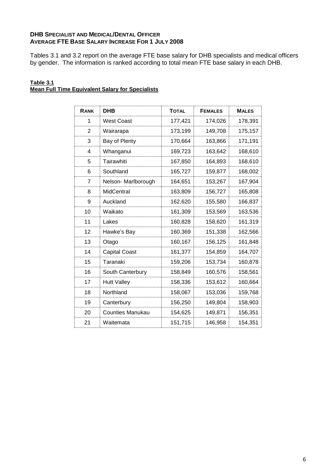## **DHB SPECIALIST AND MEDICAL/DENTAL OFFICER AVERAGE FTE BASE SALARY INCREASE FOR 1 JULY 2008**

Tables 3.1 and 3.2 report on the average FTE base salary for DHB specialists and medical officers by gender. The information is ranked according to total mean FTE base salary in each DHB.

#### **Table 3.1 Mean Full Time Equivalent Salary for Specialists**

| <b>RANK</b>    | <b>DHB</b>              | <b>TOTAL</b> | <b>FEMALES</b> | <b>MALES</b> |
|----------------|-------------------------|--------------|----------------|--------------|
| 1              | <b>West Coast</b>       | 177,421      | 174,026        | 178,391      |
| 2              | Wairarapa               | 173,199      | 149,708        | 175,157      |
| 3              | Bay of Plenty           | 170,664      | 163,866        | 171,191      |
| 4              | Whanganui               | 169,723      | 163,642        | 168,610      |
| 5              | Tairawhiti              | 167,850      | 164,893        | 168,610      |
| 6              | Southland               | 165,727      | 159,877        | 168,002      |
| $\overline{7}$ | Nelson- Marlborough     | 164,651      | 153,267        | 167,904      |
| 8              | <b>MidCentral</b>       | 163,809      | 156,727        | 165,808      |
| 9              | Auckland                | 162,620      | 155,580        | 166,837      |
| 10             | Waikato                 | 161,309      | 153,569        | 163,536      |
| 11             | Lakes                   | 160,828      | 158,620        | 161,319      |
| 12             | Hawke's Bay             | 160,369      | 151,338        | 162,566      |
| 13             | Otago                   | 160,167      | 156,125        | 161,848      |
| 14             | <b>Capital Coast</b>    | 161,377      | 154,859        | 164,707      |
| 15             | Taranaki                | 159,206      | 153,734        | 160,878      |
| 16             | South Canterbury        | 158,849      | 160,576        | 158,561      |
| 17             | <b>Hutt Valley</b>      | 158,336      | 153,612        | 160,664      |
| 18             | Northland               | 158,067      | 153,036        | 159,768      |
| 19             | Canterbury              | 156,250      | 149,804        | 158,903      |
| 20             | <b>Counties Manukau</b> | 154,625      | 149,871        | 156,351      |
| 21             | Waitemata               | 151,715      | 146,958        | 154,351      |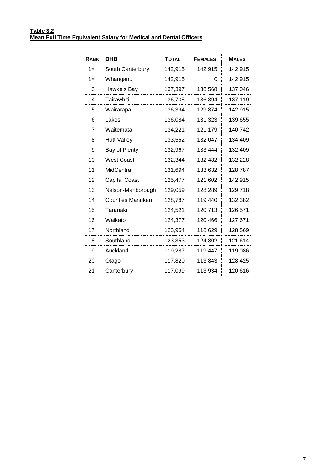#### **Table 3.2 Mean Full Time Equivalent Salary for Medical and Dental Officers**

| <b>RANK</b> | <b>DHB</b>           | <b>TOTAL</b> | <b>FEMALES</b> | <b>MALES</b> |
|-------------|----------------------|--------------|----------------|--------------|
| $1 =$       | South Canterbury     | 142,915      | 142,915        | 142,915      |
| $1 =$       | Whanganui            | 142,915      | 0              | 142,915      |
| 3           | Hawke's Bay          | 137,397      | 138,568        | 137,046      |
| 4           | Tairawhiti           | 136,705      | 136,394        | 137,119      |
| 5           | Wairarapa            | 136,394      | 129,874        | 142,915      |
| 6           | Lakes                | 136,084      | 131,323        | 139,655      |
| 7           | Waitemata            | 134,221      | 121,179        | 140,742      |
| 8           | <b>Hutt Valley</b>   | 133,552      | 132,047        | 134,409      |
| 9           | Bay of Plenty        | 132,967      | 133,444        | 132,409      |
| 10          | <b>West Coast</b>    | 132,344      | 132,482        | 132,228      |
| 11          | MidCentral           | 131,694      | 133,632        | 128,787      |
| 12          | <b>Capital Coast</b> | 125,477      | 121,602        | 142,915      |
| 13          | Nelson-Marlborough   | 129,059      | 128,289        | 129,718      |
| 14          | Counties Manukau     | 128,787      | 119,440        | 132,382      |
| 15          | Taranaki             | 124,521      | 120,713        | 126,571      |
| 16          | Waikato              | 124,377      | 120,466        | 127,671      |
| 17          | Northland            | 123,954      | 118,629        | 128,569      |
| 18          | Southland            | 123,353      | 124,802        | 121,614      |
| 19          | Auckland             | 119,287      | 119,447        | 119,086      |
| 20          | Otago                | 117,820      | 113,843        | 128,425      |
| 21          | Canterbury           | 117,099      | 113,934        | 120,616      |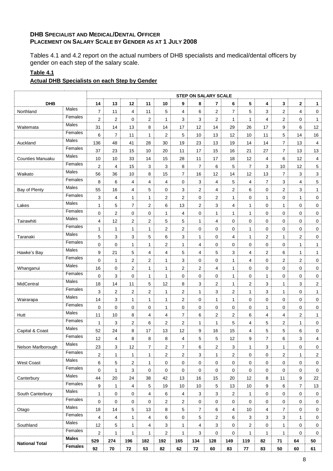#### **DHB SPECIALIST AND MEDICAL/DENTAL OFFICER PLACEMENT ON SALARY SCALE BY GENDER AS AT 1 JULY 2008**

Tables 4.1 and 4.2 report on the actual numbers of DHB specialists and medical/dental officers by gender on each step of the salary scale.

# **Table 4.1**

# **Actual DHB Specialists on each Step by Gender**

|                         |                | <b>STEP ON SALARY SCALE</b> |                   |                |                |                       |                |                   |                |                |                   |                |                |                |                |
|-------------------------|----------------|-----------------------------|-------------------|----------------|----------------|-----------------------|----------------|-------------------|----------------|----------------|-------------------|----------------|----------------|----------------|----------------|
| <b>DHB</b>              |                | 14                          | 13                | 12             | 11             | 10                    | 9              | 8                 | 7              | 6              | 5                 | 4              | 3              | $\mathbf{2}$   | 1              |
| Northland               | Males          | $\overline{7}$              | 11                | 4              | 11             | 5                     | 4              | 6                 | 2              | $\overline{7}$ | 5                 | 3              | 2              | 4              | 0              |
|                         | Females        | 2                           | $\overline{c}$    | 0              | 2              | $\mathbf{1}$          | 3              | 3                 | 2              | $\mathbf{1}$   | 1                 | 4              | 2              | 0              | $\mathbf{1}$   |
| Waitemata               | Males          | 31                          | 14                | 13             | 8              | 14                    | 17             | 12                | 14             | 29             | 26                | 17             | 9              | 6              | 12             |
|                         | Females        | 6                           | $\overline{7}$    | 11             | $\mathbf{1}$   | $\overline{2}$        | 5              | 10                | 13             | 12             | 10                | 11             | 5              | 14             | 16             |
| Auckland                | Males          | 136                         | 48                | 41             | 28             | 30                    | 19             | 23                | 13             | 19             | 14                | 14             | 7              | 13             | 4              |
|                         | Females        | 37                          | 23                | 15             | 10             | 20                    | 11             | 17                | 15             | 16             | 21                | 27             | $\overline{7}$ | 13             | 13             |
| <b>Counties Manuaku</b> | <b>Males</b>   | 10                          | 10                | 33             | 14             | 15                    | 28             | 11                | 17             | 18             | 12                | 4              | 6              | 12             | 4              |
|                         | Females        | $\overline{2}$              | 4                 | 15             | 3              | 3                     | 8              | $\overline{7}$    | 6              | 5              | $\overline{7}$    | 3              | 10             | 12             | 5              |
| Waikato                 | Males          | 56                          | 36                | 10             | 8              | 15                    | $\overline{7}$ | 16                | 12             | 14             | 12                | 13             | $\overline{7}$ | 3              | 3              |
|                         | Females        | 8                           | 6                 | 4              | 4              | $\overline{4}$        | 0              | 3                 | 4              | 5              | 4                 | $\overline{7}$ | 3              | 4              | 5              |
| Bay of Plenty           | Males          | 55                          | 16                | 4              | 5              | 0                     | 3              | $\overline{2}$    | 4              | 2              | 6                 | $\mathbf 0$    | 2              | 3              | $\mathbf{1}$   |
|                         | Females        | 3                           | 4                 | 1              | $\mathbf{1}$   | 2                     | 2              | 0                 | $\overline{2}$ | $\mathbf{1}$   | 0                 | $\mathbf{1}$   | 0              | $\mathbf{1}$   | 0              |
|                         | Males          |                             |                   |                |                |                       |                |                   |                |                |                   |                |                |                |                |
| Lakes                   | Females        | $\mathbf{1}$                | 5                 | $\overline{7}$ | $\overline{2}$ | 6                     | 13             | 2                 | 3              | 4              | $\mathbf{1}$      | 0              | 1              | 0              | 0              |
|                         | Males          | 0                           | 2                 | 0              | 0              | 1                     | 4              | 0                 | $\mathbf{1}$   | 1              | 1                 | 0              | $\mathbf 0$    | 0              | 0              |
| Tairawhiti              | Females        | 4                           | 12                | 2              | 2              | 5                     | 5              | $\mathbf{1}$      | 4              | $\mathbf 0$    | 0                 | 0              | $\mathbf 0$    | 0              | 0              |
|                         | Males          | $\mathbf{1}$                | $\mathbf{1}$      | $\mathbf{1}$   | $\mathbf{1}$   | 2                     | 2              | 0                 | 0              | 0              | $\mathbf{1}$      | 0              | 0              | 0              | 0              |
| Taranaki                | Females        | 5                           | 3                 | 3              | 5              | 6                     | 3              | $\mathbf{1}$      | 0              | 4              | 1                 | $\overline{c}$ | 1              | 2              | 0              |
|                         | Males          | 0                           | 0                 | 1              | 1              | $\overline{2}$        | 1              | 4                 | 0              | 0              | 0                 | 0              | $\mathbf 0$    | 1              | $\mathbf{1}$   |
| Hawke's Bay             | Females        | 9                           | 21                | 5              | 4              | 4                     | 5              | 4                 | 5              | 3              | 4                 | 2              | 6              | 1              | 1              |
|                         |                | 0                           | 1                 | 2              | $\overline{2}$ | 1                     | 3              | 0                 | 0              | $\mathbf{1}$   | 4                 | 0              | 2              | 2              | 0              |
| Whanganui               | Males          | 16                          | $\mathbf 0$       | $\overline{2}$ | 1              | $\mathbf{1}$          | 2              | $\overline{2}$    | 4              | 1              | 0                 | 0              | 0              | 0              | 0              |
|                         | Females        | $\mathbf 0$                 | 3                 | $\mathbf 0$    | $\mathbf{1}$   | $\mathbf{1}$          | 0              | 0                 | 0              | $\mathbf{1}$   | 0                 | $\mathbf{1}$   | $\mathbf 0$    | 0              | 0              |
| MidCentral              | Males          | 18                          | 14                | 11             | 5              | 12                    | 8              | 3                 | 2              | 1              | 2                 | 3              | 1              | 3              | $\overline{2}$ |
|                         | Females        | 3                           | $\overline{2}$    | 2              | 2              | 1                     | 2              | $\mathbf{1}$      | 3              | 2              | 1                 | 3              | 1              | 0              | $\mathbf{1}$   |
| Wairarapa               | Males          | 14                          | 3                 | $\mathbf{1}$   | $\mathbf{1}$   | $\mathbf{1}$          | 2              | 0                 | $\mathbf{1}$   | $\mathbf{1}$   | 0                 | 0              | $\mathbf 0$    | 0              | 0              |
|                         | Females        | 0                           | $\mathbf 0$       | 0              | 0              | 1                     | 0              | 0                 | 0              | 0              | 0                 | $\mathbf{1}$   | 0              | 0              | 0              |
| Hutt                    | Males          | 11                          | 10                | 8              | 4              | 4                     | 7              | 6                 | $\overline{2}$ | 2              | 6                 | 4              | 4              | 2              | 1              |
|                         | Females        | $\mathbf{1}$                | 3                 | 2              | 6              | 2                     | 2              | $\mathbf{1}$      | $\mathbf{1}$   | 5              | 4                 | 5              | 2              | 1              | 0              |
| Capital & Coast         | Males          | 52                          | 24                | 8              | 17             | 13                    | 12             | 9                 | 16             | 15             | 4                 | 5              | 5              | 6              | 0              |
|                         | Females        | 12                          | 4                 | 8              | 8              | 8                     | 4              | 5                 | 5              | 12             | 9                 | $\overline{7}$ | 6              | 3              | 4              |
| Nelson Marlborough      | Males          | 23                          | $\sqrt{3}$        | 12             | $\overline{7}$ | $\overline{2}$        | $\overline{7}$ | 6                 | $\overline{2}$ | 3              | 1                 | 3              | $\mathbf{1}$   | 0              | 0              |
|                         | Females        | $\overline{2}$              | $\mathbf{1}$      | $\mathbf{1}$   | $\mathbf{1}$   | $\overline{2}$        | $\overline{2}$ | 3                 | $\mathbf{1}$   | $\overline{2}$ | 0                 | 0              | $\mathbf{2}$   | $\mathbf{1}$   | $\overline{2}$ |
| West Coast              | Males          | 6                           | 5                 | $\overline{2}$ | $\mathbf{1}$   | 0                     | 0              | $\mathbf 0$       | $\mathbf 0$    | $\mathbf 0$    | 0                 | 0              | 0              | 0              | 0              |
|                         | Females        | 0                           | $\mathbf{1}$      | 3              | 0              | $\mathsf{O}\xspace$   | 0              | 0                 | $\mathbf 0$    | $\mathbf 0$    | 0                 | 0              | 0              | 0              | 0              |
| Canterbury              | Males          | 44                          | 20                | 24             | 38             | 42                    | 13             | 16                | 15             | 20             | 12                | 8              | 11             | 9              | 22             |
|                         | Females        | 9                           | 1                 | 4              | 5              | 19                    | 10             | 10                | 5              | 13             | 10                | 9              | 6              | $\overline{7}$ | 13             |
| South Canterbury        | Males          | 1                           | $\mathbf 0$       | 0              | 4              | 6                     | 4              | 3                 | 3              | $\overline{2}$ | $\mathbf{1}$      | 0              | 0              | 0              | 0              |
|                         | Females        | 0                           | $\mathbf 0$       | 0              | 0              | $\mathbf{2}^{\prime}$ | 2              | 0                 | 0              | 0              | 0                 | 0              | 0              | 0              | 0              |
| Otago                   | Males          | 18                          | 14                | 5              | 13             | 8                     | 5              | 7                 | 6              | 4              | 10                | 4              | $\overline{7}$ | 0              | 0              |
|                         | Females        | 4                           | $\overline{4}$    | $\mathbf{1}$   | 4              | 6                     | 0              | 5                 | $\overline{2}$ | 6              | 3                 | 3              | 3              | $\mathbf{1}$   | 0              |
| Southland               | Males          |                             | 5                 | $\mathbf{1}$   | $\overline{4}$ | 3                     | $\mathbf{1}$   | 4                 | 3              | 0              | 2                 | 0              | $\mathbf{1}$   |                |                |
|                         | Females        | 12                          |                   |                |                |                       |                |                   |                |                |                   |                |                | 0              | 0              |
|                         | <b>Males</b>   | 2                           | $\mathbf{1}$      | $\mathbf{1}$   | $\mathbf{1}$   | $\overline{2}$        | $\mathbf{1}$   | 3                 | $\mathbf 0$    | $\mathbf 0$    | $\mathbf{1}$      | $\mathbf{1}$   | 1              | 0              | 0              |
| <b>National Total</b>   | <b>Females</b> | 529<br>92                   | 274<br>${\bf 70}$ | 196<br>72      | 182<br>53      | 192<br>82             | 165<br>62      | 134<br>${\bf 72}$ | 128<br>60      | 149<br>83      | 119<br>${\bf 77}$ | 82<br>83       | 71<br>50       | 64<br>60       | 50<br>61       |
|                         |                |                             |                   |                |                |                       |                |                   |                |                |                   |                |                |                |                |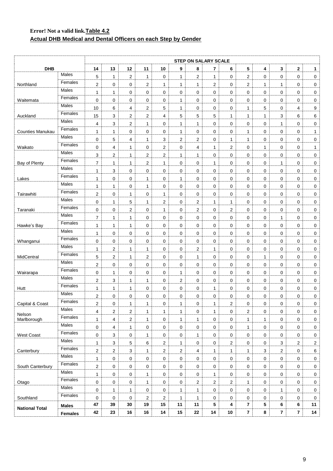# **Error! Not a valid link.Table 4.2 Actual DHB Medical and Dental Officers on each Step by Gender**

|                         |                | <b>STEP ON SALARY SCALE</b> |                |             |                |                |                |                |                |                |                |              |                |                |                |
|-------------------------|----------------|-----------------------------|----------------|-------------|----------------|----------------|----------------|----------------|----------------|----------------|----------------|--------------|----------------|----------------|----------------|
| <b>DHB</b>              |                | 14                          | 13             | 12          | 11             | 10             | 9              | 8              | 7              | 6              | 5              | 4            | 3              | $\mathbf{2}$   | 1              |
|                         | Males          | 5                           | $\mathbf{1}$   | 2           | 1              | 0              | 1              | 2              | 1              | 0              | $\overline{c}$ | 0            | 0              | 0              | 0              |
| Northland               | Females        | 2                           | 0              | 0           | $\overline{2}$ | $\mathbf{1}$   | $\mathbf{1}$   | $\mathbf{1}$   | 2              | 0              | 2              | $\mathbf{1}$ | 1              | 0              | 0              |
|                         | Males          | 1                           | $\mathbf{1}$   | 0           | 0              | 0              | 0              | 0              | 0              | 0              | 0              | 0            | 0              | 0              | 0              |
| Waitemata               | Females        | 0                           | 0              | 0           | 0              | 0              | 1              | 0              | 0              | 0              | 0              | 0            | 0              | 0              | 0              |
|                         | Males          | 10                          | 6              | 4           | $\overline{c}$ | $\mathbf 5$    | $\mathbf{1}$   | 0              | 0              | 0              | $\mathbf{1}$   | 5            | 0              | 4              | 9              |
| Auckland                | Females        | 15                          | 3              | 2           | 2              | 4              | 5              | 5              | 5              | $\mathbf{1}$   | 1              | 1            | 3              | 6              | 6              |
|                         | Males          | 4                           | 3              | 2           | 1              | 0              | 1              | $\mathbf{1}$   | 0              | 0              | 0              | 0            | 1              | 0              | 0              |
| <b>Counties Manukau</b> | Females        | 1                           | $\mathbf{1}$   | 0           | 0              | $\mathbf 0$    | 1              | 0              | 0              | 0              | $\mathbf{1}$   | 0            | 0              | 0              | 1              |
|                         | Males          | 0                           | 5              | 4           | 1              | 3              | 2              | $\overline{2}$ | 0              | $\mathbf{1}$   | 1              | 0            | 0              | 0              | 0              |
| Waikato                 | Females        | 0                           | 4              | 1           | 0              | 2              | 0              | 4              | 1              | 2              | 0              | $\mathbf{1}$ | 0              | 0              | 1              |
|                         | Males          | 3                           | $\overline{c}$ | 1           | $\overline{c}$ | $\overline{2}$ | 1              | $\mathbf{1}$   | 0              | 0              | 0              | 0            | 0              | 0              | 0              |
| Bay of Plenty           | Females        | $\overline{7}$              | $\mathbf{1}$   | 1           | 2              | 1              | 0              | 0              | 1              | 0              | 0              | 0            | $\mathbf{1}$   | 0              | 0              |
|                         | Males          | 1                           | 3              | 0           | 0              | $\mathbf 0$    | 0              | 0              | 0              | 0              | 0              | 0            | 0              | 0              | 0              |
| Lakes                   | Females        | 1                           | 0              | 0           | 1              | $\mathbf 0$    | 1              | 0              | 0              | 0              | 0              | 0            | 0              | 0              | 0              |
|                         | Males          | 1                           | $\mathbf{1}$   | 0           | $\mathbf{1}$   | 0              | 0              | 0              | $\mathbf 0$    | 0              | 0              | 0            | 0              | 0              | 0              |
| Tairawhiti              | Females        | 2                           | 0              | 1           | 0              | 1              | 0              | 0              | 0              | 0              | 0              | 0            | 0              | 0              | 0              |
|                         | Males          | 0                           | 1              | 5           | 1              | $\overline{2}$ | 0              | $\overline{2}$ | 1              | 1              | 0              | 0            | 0              | 0              | 0              |
| Taranaki                | Females        | 0                           | 0              | 2           | 0              | 1              | 0              | $\overline{2}$ | 0              | 2              | 0              | 0            | 0              | 0              | 0              |
|                         | Males          | 7                           |                |             | 0              | $\mathbf 0$    | 0              | 0              | 0              | 0              | 0              | 0            | 1              | 0              |                |
|                         | Females        |                             | 1              | 1           |                |                |                |                |                |                |                |              |                |                | 0              |
| Hawke's Bay             | Males          | 1                           | 1              | 1           | 0              | $\mathbf 0$    | 0              | 0              | 0              | 0              | 0              | 0            | 0              | 0              | 0              |
|                         | Females        | 1                           | 0              | 0           | 0              | 0              | 0              | 0              | $\mathbf 0$    | 0              | 0              | 0            | 0              | 0              | 0              |
| Whanganui               | Males          | 0                           | 0              | 0           | 0              | 0              | 0              | 0              | 0              | 0              | 0              | 0            | 0              | 0              | 0              |
|                         | Females        | 1                           | 2              | 1           | 1              | $\mathbf 0$    | 0              | $\overline{c}$ | 1              | 0              | 0              | 0            | 0              | 0              | 0              |
| MidCentral              | Males          | 5                           | $\overline{2}$ | 1           | 2              | 0              | 0              | $\mathbf{1}$   | 0              | 0              | 0              | $\mathbf{1}$ | 0              | 0              | 0              |
|                         | Females        | 2                           | 0              | 0           | 0              | $\mathbf 0$    | 0              | 0              | 0              | 0              | 0              | 0            | 0              | 0              | 0              |
| Wairarapa               | Males          | 0                           | 1              | 0           | 0              | 0              | 1              | 0              | 0              | 0              | 0              | 0            | 0              | 0              | 0              |
|                         | Females        | $\overline{2}$              | 3              | 1           | $\mathbf{1}$   | 0              | 2              | 0              | 0              | 0              | 0              | 0            | 0              | 0              | 0              |
| Hutt                    | Males          | $\mathbf{1}$                | 1              | 1           | 0              | 0              | 0              | 0              | 1              | 0              | 0              | 0            | 0              | 0              | 0              |
|                         | Females        | 2                           | 0              | 0           | 0              | 0              | 0              | 0              | 0              | 0              | 0              | 0            | 0              | 0              | 0              |
| Capital & Coast         | Males          | 2                           | 0              | 1           | 1              | 0              | $\mathbf{1}$   | 0              | 1              | 2              | 0              | 0            | $\mathbf 0$    | 0              | 0              |
| Nelson                  | Females        | 4                           | 2              | 2           | 1              | 1              | 1              | 0              | 1              | 0              | $\overline{2}$ | 0            | 0              | 0              | 0              |
| Marlborough             | Males          | $\mathbf{1}$                | 4              | 2           | $\mathbf{1}$   | $\pmb{0}$      | $\mathbf{1}$   | $\mathbf{1}$   | $\mathsf 0$    | 0              | $\mathbf{1}$   | $\mathbf{1}$ | 0              | $\mathbf 0$    | $\mathsf 0$    |
|                         | Females        | 0                           | $\overline{4}$ | 1           | 0              | 0              | $\mathbf 0$    | 0              | $\mathbf 0$    | 0              | $\mathbf{1}$   | $\mathbf 0$  | 0              | $\mathbf 0$    | 0              |
| West Coast              | Males          | 0                           | 3              | 0           | 1              | 0              | 0              | $\mathbf{1}$   | 0              | 0              | 0              | 0            | 0              | 0              | 0              |
|                         | Females        | $\mathbf{1}$                | 3              | 5           | 6              | $\overline{2}$ | $\mathbf{1}$   | 0              | $\mathsf 0$    | $\mathbf{2}$   | 0              | $\mathsf 0$  | 3              | $\overline{c}$ | $\overline{c}$ |
| Canterbury              | Males          | $\overline{c}$              | $\overline{2}$ | 3           | 1              | $\overline{2}$ | $\overline{2}$ | $\overline{4}$ | $\mathbf{1}$   | $\mathbf{1}$   | $\mathbf{1}$   | 3            | $\overline{2}$ | $\mathbf 0$    | 6              |
|                         | Females        | 1                           | 0              | 0           | 0              | 0              | 0              | 0              | $\mathbf 0$    | 0              | $\pmb{0}$      | $\mathbf 0$  | 0              | $\mathbf 0$    | 0              |
| South Canterbury        | Males          | $\overline{\mathbf{c}}$     | 0              | 0           | 0              | $\pmb{0}$      | $\pmb{0}$      | 0              | $\mathsf 0$    | 0              | $\mathbf 0$    | $\mathsf 0$  | 0              | 0              | 0              |
|                         | Females        | $\mathbf{1}$                | 0              | 0           | 1              | 0              | $\mathbf 0$    | 0              | $\mathbf{1}$   | 0              | 0              | $\mathbf 0$  | 0              | 0              | 0              |
| Otago                   | Males          | 0                           | 0              | 0           | 1              | 0              | 0              | $\overline{c}$ | $\overline{c}$ | $\overline{c}$ | $\mathbf{1}$   | 0            | 0              | 0              | 0              |
|                         |                | 0                           | $\mathbf{1}$   | 1           | 0              | 0              | 1              | $\mathbf{1}$   | $\pmb{0}$      | 0              | 0              | $\mathsf 0$  | $\mathbf{1}$   | 0              | 0              |
| Southland               | Females        | $\pmb{0}$                   | $\mathbf{0}$   | $\mathbf 0$ | $\overline{c}$ | $\overline{2}$ | $\mathbf{1}$   | $\mathbf{1}$   | $\mathbf 0$    | 0              | $\pmb{0}$      | 0            | $\mathbf 0$    | $\mathbf 0$    | 0              |
| <b>National Total</b>   | <b>Males</b>   | 47                          | 39             | 30          | 19             | 15             | 11             | 11             | 5              | 4              | $\overline{7}$ | 5            | 6              | 6              | 11             |
|                         | <b>Females</b> | 42                          | 23             | 16          | 16             | 14             | 15             | 22             | 14             | 10             | 7              | 8            | $\bf 7$        | $\overline{7}$ | 14             |